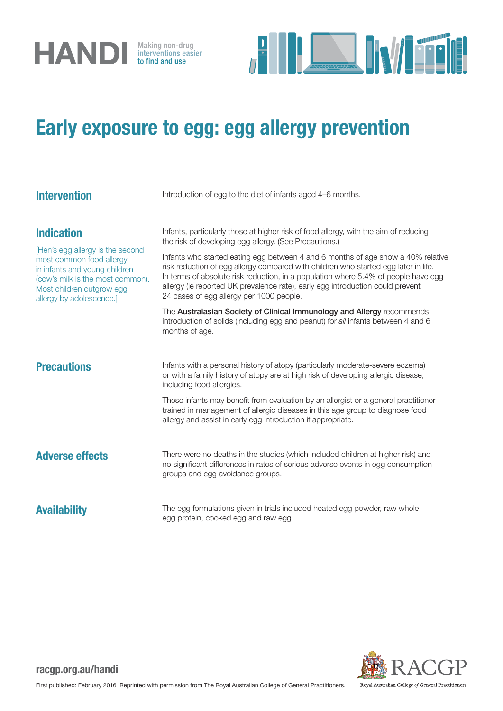



## Early exposure to egg: egg allergy prevention

| <b>Intervention</b>                                                                                                                                                                                             | Introduction of egg to the diet of infants aged 4-6 months.                                                                                                                                                                                                                                                                                                                                                                                                                                                                                                                                                             |
|-----------------------------------------------------------------------------------------------------------------------------------------------------------------------------------------------------------------|-------------------------------------------------------------------------------------------------------------------------------------------------------------------------------------------------------------------------------------------------------------------------------------------------------------------------------------------------------------------------------------------------------------------------------------------------------------------------------------------------------------------------------------------------------------------------------------------------------------------------|
| <b>Indication</b><br>[Hen's egg allergy is the second<br>most common food allergy<br>in infants and young children<br>(cow's milk is the most common).<br>Most children outgrow egg<br>allergy by adolescence.] | Infants, particularly those at higher risk of food allergy, with the aim of reducing<br>the risk of developing egg allergy. (See Precautions.)<br>Infants who started eating egg between 4 and 6 months of age show a 40% relative<br>risk reduction of egg allergy compared with children who started egg later in life.<br>In terms of absolute risk reduction, in a population where 5.4% of people have egg<br>allergy (ie reported UK prevalence rate), early egg introduction could prevent<br>24 cases of egg allergy per 1000 people.<br>The Australasian Society of Clinical Immunology and Allergy recommends |
| <b>Precautions</b>                                                                                                                                                                                              | introduction of solids (including egg and peanut) for all infants between 4 and 6<br>months of age.<br>Infants with a personal history of atopy (particularly moderate-severe eczema)<br>or with a family history of atopy are at high risk of developing allergic disease,<br>including food allergies.                                                                                                                                                                                                                                                                                                                |
|                                                                                                                                                                                                                 | These infants may benefit from evaluation by an allergist or a general practitioner<br>trained in management of allergic diseases in this age group to diagnose food<br>allergy and assist in early egg introduction if appropriate.                                                                                                                                                                                                                                                                                                                                                                                    |
| <b>Adverse effects</b>                                                                                                                                                                                          | There were no deaths in the studies (which included children at higher risk) and<br>no significant differences in rates of serious adverse events in egg consumption<br>groups and egg avoidance groups.                                                                                                                                                                                                                                                                                                                                                                                                                |
| <b>Availability</b>                                                                                                                                                                                             | The egg formulations given in trials included heated egg powder, raw whole<br>egg protein, cooked egg and raw egg.                                                                                                                                                                                                                                                                                                                                                                                                                                                                                                      |



## racgp.org.au/handi